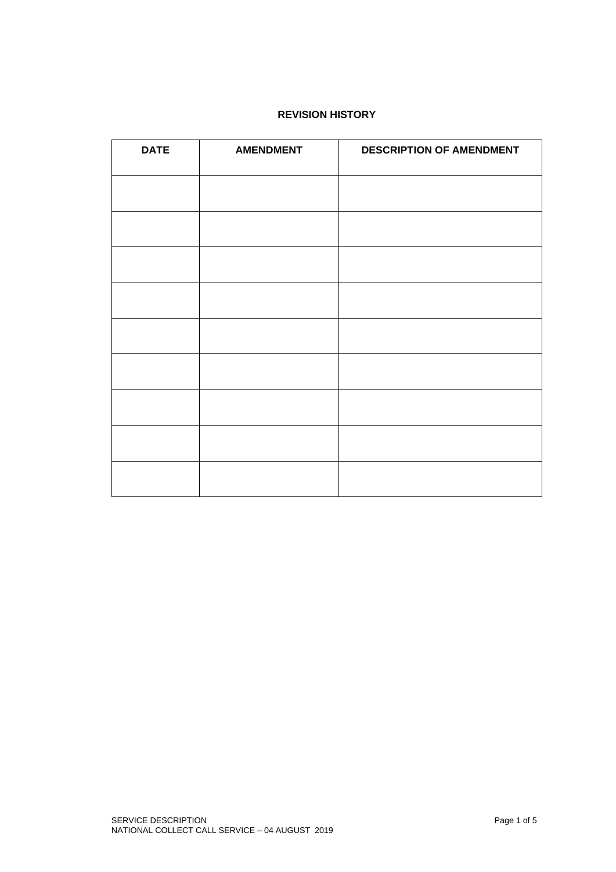# **REVISION HISTORY**

| <b>DATE</b> | <b>AMENDMENT</b> | <b>DESCRIPTION OF AMENDMENT</b> |
|-------------|------------------|---------------------------------|
|             |                  |                                 |
|             |                  |                                 |
|             |                  |                                 |
|             |                  |                                 |
|             |                  |                                 |
|             |                  |                                 |
|             |                  |                                 |
|             |                  |                                 |
|             |                  |                                 |
|             |                  |                                 |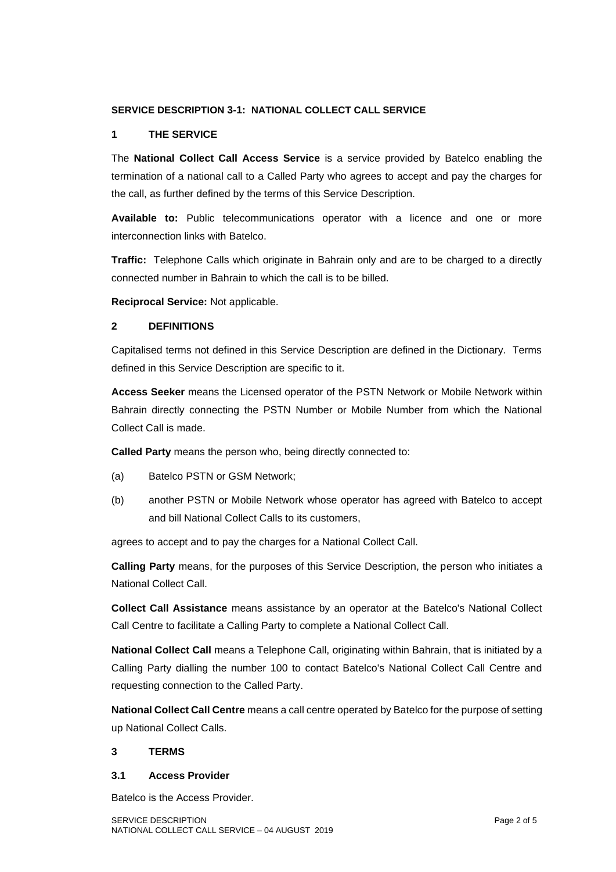## **SERVICE DESCRIPTION 3-1: NATIONAL COLLECT CALL SERVICE**

## **1 THE SERVICE**

The **National Collect Call Access Service** is a service provided by Batelco enabling the termination of a national call to a Called Party who agrees to accept and pay the charges for the call, as further defined by the terms of this Service Description.

**Available to:** Public telecommunications operator with a licence and one or more interconnection links with Batelco.

**Traffic:** Telephone Calls which originate in Bahrain only and are to be charged to a directly connected number in Bahrain to which the call is to be billed.

**Reciprocal Service:** Not applicable.

## **2 DEFINITIONS**

Capitalised terms not defined in this Service Description are defined in the Dictionary. Terms defined in this Service Description are specific to it.

**Access Seeker** means the Licensed operator of the PSTN Network or Mobile Network within Bahrain directly connecting the PSTN Number or Mobile Number from which the National Collect Call is made.

**Called Party** means the person who, being directly connected to:

- (a) Batelco PSTN or GSM Network;
- (b) another PSTN or Mobile Network whose operator has agreed with Batelco to accept and bill National Collect Calls to its customers,

agrees to accept and to pay the charges for a National Collect Call.

**Calling Party** means, for the purposes of this Service Description, the person who initiates a National Collect Call.

**Collect Call Assistance** means assistance by an operator at the Batelco's National Collect Call Centre to facilitate a Calling Party to complete a National Collect Call.

**National Collect Call** means a Telephone Call, originating within Bahrain, that is initiated by a Calling Party dialling the number 100 to contact Batelco's National Collect Call Centre and requesting connection to the Called Party.

**National Collect Call Centre** means a call centre operated by Batelco for the purpose of setting up National Collect Calls.

## **3 TERMS**

#### **3.1 Access Provider**

Batelco is the Access Provider.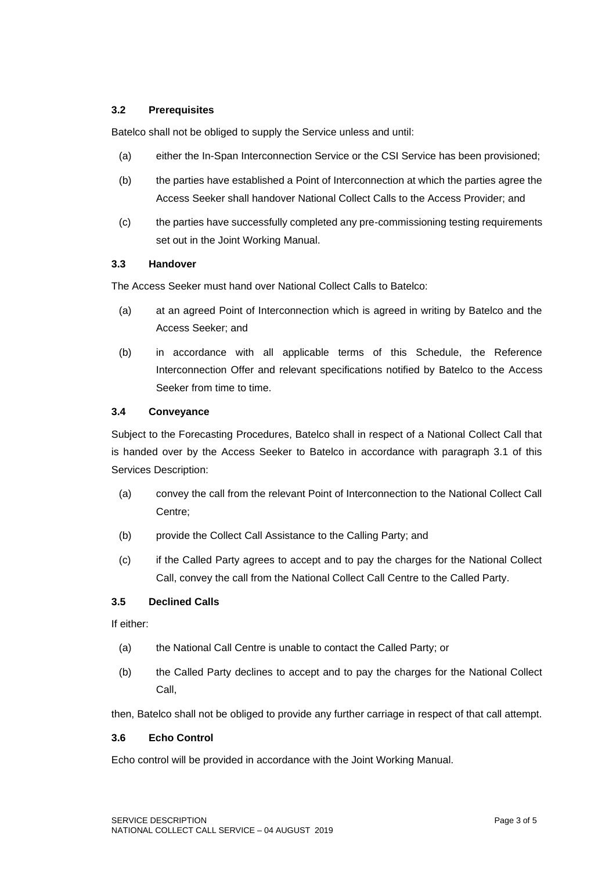# **3.2 Prerequisites**

Batelco shall not be obliged to supply the Service unless and until:

- (a) either the In-Span Interconnection Service or the CSI Service has been provisioned;
- (b) the parties have established a Point of Interconnection at which the parties agree the Access Seeker shall handover National Collect Calls to the Access Provider; and
- (c) the parties have successfully completed any pre-commissioning testing requirements set out in the Joint Working Manual.

## **3.3 Handover**

The Access Seeker must hand over National Collect Calls to Batelco:

- (a) at an agreed Point of Interconnection which is agreed in writing by Batelco and the Access Seeker; and
- (b) in accordance with all applicable terms of this Schedule, the Reference Interconnection Offer and relevant specifications notified by Batelco to the Access Seeker from time to time.

## **3.4 Conveyance**

Subject to the Forecasting Procedures, Batelco shall in respect of a National Collect Call that is handed over by the Access Seeker to Batelco in accordance with paragraph 3.1 of this Services Description:

- (a) convey the call from the relevant Point of Interconnection to the National Collect Call Centre;
- (b) provide the Collect Call Assistance to the Calling Party; and
- (c) if the Called Party agrees to accept and to pay the charges for the National Collect Call, convey the call from the National Collect Call Centre to the Called Party.

## **3.5 Declined Calls**

If either:

- (a) the National Call Centre is unable to contact the Called Party; or
- (b) the Called Party declines to accept and to pay the charges for the National Collect Call,

then, Batelco shall not be obliged to provide any further carriage in respect of that call attempt.

#### **3.6 Echo Control**

Echo control will be provided in accordance with the Joint Working Manual.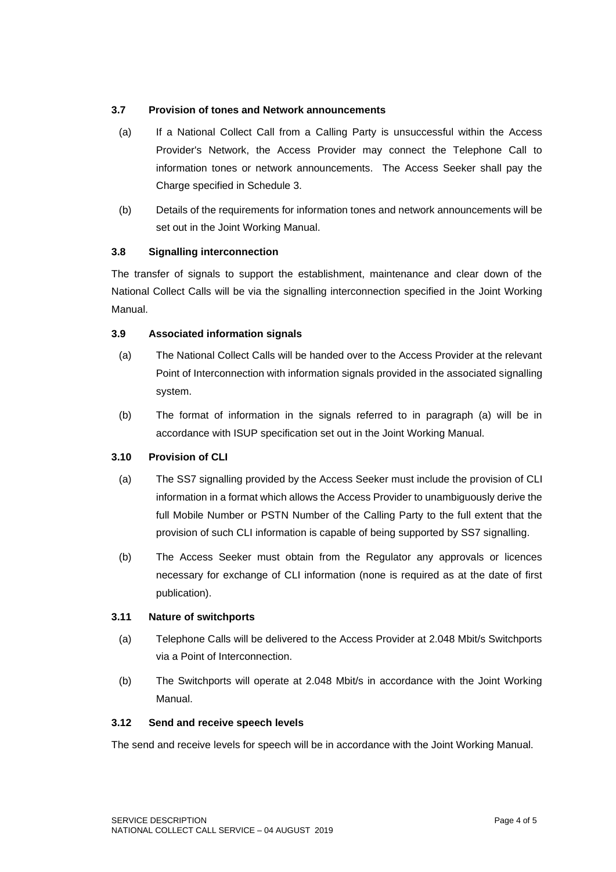## **3.7 Provision of tones and Network announcements**

- (a) If a National Collect Call from a Calling Party is unsuccessful within the Access Provider's Network, the Access Provider may connect the Telephone Call to information tones or network announcements. The Access Seeker shall pay the Charge specified in Schedule 3.
- (b) Details of the requirements for information tones and network announcements will be set out in the Joint Working Manual.

## **3.8 Signalling interconnection**

The transfer of signals to support the establishment, maintenance and clear down of the National Collect Calls will be via the signalling interconnection specified in the Joint Working Manual.

## **3.9 Associated information signals**

- (a) The National Collect Calls will be handed over to the Access Provider at the relevant Point of Interconnection with information signals provided in the associated signalling system.
- (b) The format of information in the signals referred to in paragraph (a) will be in accordance with ISUP specification set out in the Joint Working Manual.

## **3.10 Provision of CLI**

- (a) The SS7 signalling provided by the Access Seeker must include the provision of CLI information in a format which allows the Access Provider to unambiguously derive the full Mobile Number or PSTN Number of the Calling Party to the full extent that the provision of such CLI information is capable of being supported by SS7 signalling.
- (b) The Access Seeker must obtain from the Regulator any approvals or licences necessary for exchange of CLI information (none is required as at the date of first publication).

### **3.11 Nature of switchports**

- (a) Telephone Calls will be delivered to the Access Provider at 2.048 Mbit/s Switchports via a Point of Interconnection.
- (b) The Switchports will operate at 2.048 Mbit/s in accordance with the Joint Working Manual.

#### **3.12 Send and receive speech levels**

The send and receive levels for speech will be in accordance with the Joint Working Manual.